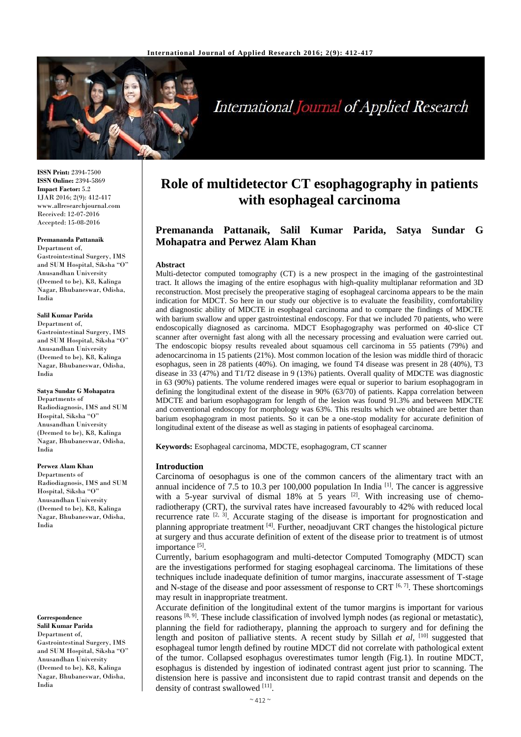

# **International Journal of Applied Research**

**ISSN Print:** 2394-7500 **ISSN Online:** 2394-5869 **Impact Factor:** 5.2 IJAR 2016; 2(9): 412-417 www.allresearchjournal.com Received: 12-07-2016 Accepted: 15-08-2016

#### **Premananda Pattanaik**

Department of, Gastrointestinal Surgery, IMS and SUM Hospital, Siksha "O" Anusandhan University (Deemed to be), K8, Kalinga Nagar, Bhubaneswar, Odisha, India

#### **Salil Kumar Parida**

Department of, Gastrointestinal Surgery, IMS and SUM Hospital, Siksha "O" Anusandhan University (Deemed to be), K8, Kalinga Nagar, Bhubaneswar, Odisha, India

**Satya Sundar G Mohapatra**  Departments of Radiodiagnosis, IMS and SUM Hospital, Siksha "O" Anusandhan University (Deemed to be), K8, Kalinga Nagar, Bhubaneswar, Odisha, India

**Perwez Alam Khan** Departments of

Radiodiagnosis, IMS and SUM Hospital, Siksha "O" Anusandhan University (Deemed to be), K8, Kalinga Nagar, Bhubaneswar, Odisha, India

**Correspondence Salil Kumar Parida** Department of, Gastrointestinal Surgery, IMS and SUM Hospital, Siksha "O" Anusandhan University (Deemed to be), K8, Kalinga Nagar, Bhubaneswar, Odisha, India

## **Role of multidetector CT esophagography in patients with esophageal carcinoma**

## **Premananda Pattanaik, Salil Kumar Parida, Satya Sundar G Mohapatra and Perwez Alam Khan**

#### **Abstract**

Multi-detector computed tomography (CT) is a new prospect in the imaging of the gastrointestinal tract. It allows the imaging of the entire esophagus with high-quality multiplanar reformation and 3D reconstruction. Most precisely the preoperative staging of esophageal carcinoma appears to be the main indication for MDCT. So here in our study our objective is to evaluate the feasibility, comfortability and diagnostic ability of MDCTE in esophageal carcinoma and to compare the findings of MDCTE with barium swallow and upper gastrointestinal endoscopy. For that we included 70 patients, who were endoscopically diagnosed as carcinoma. MDCT Esophagography was performed on 40-slice CT scanner after overnight fast along with all the necessary processing and evaluation were carried out. The endoscopic biopsy results revealed about squamous cell carcinoma in 55 patients (79%) and adenocarcinoma in 15 patients (21%). Most common location of the lesion was middle third of thoracic esophagus, seen in 28 patients (40%). On imaging, we found T4 disease was present in 28 (40%), T3 disease in 33 (47%) and T1/T2 disease in 9 (13%) patients. Overall quality of MDCTE was diagnostic in 63 (90%) patients. The volume rendered images were equal or superior to barium esophagogram in defining the longitudinal extent of the disease in 90% (63/70) of patients. Kappa correlation between MDCTE and barium esophagogram for length of the lesion was found 91.3% and between MDCTE and conventional endoscopy for morphology was 63%. This results which we obtained are better than barium esophagogram in most patients. So it can be a one-stop modality for accurate definition of longitudinal extent of the disease as well as staging in patients of esophageal carcinoma.

**Keywords:** Esophageal carcinoma, MDCTE, esophagogram, CT scanner

### **Introduction**

Carcinoma of oesophagus is one of the common cancers of the alimentary tract with an annual incidence of 7.5 to 10.3 per 100,000 population In India  $^{[1]}$ . The cancer is aggressive with a 5-year survival of dismal 18% at  $5$  years <sup>[2]</sup>. With increasing use of chemoradiotherapy (CRT), the survival rates have increased favourably to 42% with reduced local recurrence rate  $[2, 3]$ . Accurate staging of the disease is important for prognostication and planning appropriate treatment [4]. Further, neoadjuvant CRT changes the histological picture at surgery and thus accurate definition of extent of the disease prior to treatment is of utmost importance<sup>[5]</sup>.

Currently, barium esophagogram and multi-detector Computed Tomography (MDCT) scan are the investigations performed for staging esophageal carcinoma. The limitations of these techniques include inadequate definition of tumor margins, inaccurate assessment of T-stage and N-stage of the disease and poor assessment of response to CRT  $[6, 7]$ . These shortcomings may result in inappropriate treatment.

Accurate definition of the longitudinal extent of the tumor margins is important for various reasons [8, 9]. These include classification of involved lymph nodes (as regional or metastatic), planning the field for radiotherapy, planning the approach to surgery and for defining the length and positon of palliative stents. A recent study by Sillah et al, <sup>[10]</sup> suggested that esophageal tumor length defined by routine MDCT did not correlate with pathological extent of the tumor. Collapsed esophagus overestimates tumor length (Fig.1). In routine MDCT, esophagus is distended by ingestion of iodinated contrast agent just prior to scanning. The distension here is passive and inconsistent due to rapid contrast transit and depends on the density of contrast swallowed [11].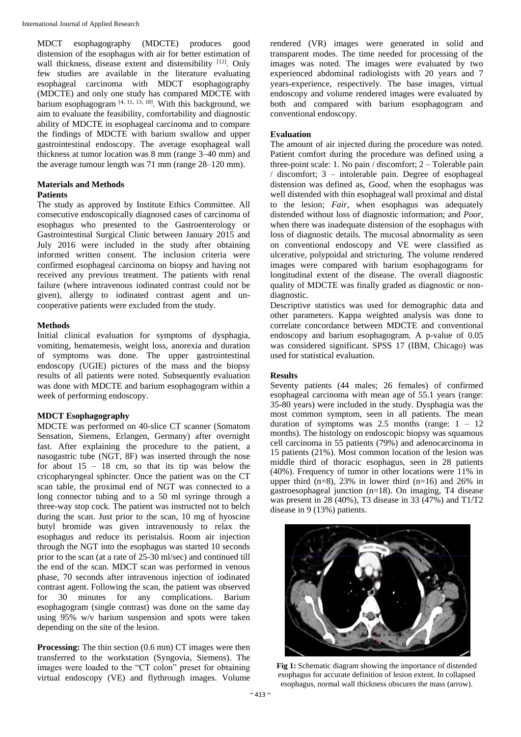MDCT esophagography (MDCTE) produces good distension of the esophagus with air for better estimation of wall thickness, disease extent and distensibility [12]. Only few studies are available in the literature evaluating esophageal carcinoma with MDCT esophagography (MDCTE) and only one study has compared MDCTE with barium esophagogram  $[4, 11, 13, 18]$ . With this background, we aim to evaluate the feasibility, comfortability and diagnostic ability of MDCTE in esophageal carcinoma and to compare the findings of MDCTE with barium swallow and upper gastrointestinal endoscopy. The average esophageal wall thickness at tumor location was 8 mm (range 3–40 mm) and the average tumour length was 71 mm (range 28–120 mm).

## **Materials and Methods**

## **Patients**

The study as approved by Institute Ethics Committee. All consecutive endoscopically diagnosed cases of carcinoma of esophagus who presented to the Gastroenterology or Gastrointestinal Surgical Clinic between January 2015 and July 2016 were included in the study after obtaining informed written consent. The inclusion criteria were confirmed esophageal carcinoma on biopsy and having not received any previous treatment. The patients with renal failure (where intravenous iodinated contrast could not be given), allergy to iodinated contrast agent and uncooperative patients were excluded from the study.

## **Methods**

Initial clinical evaluation for symptoms of dysphagia, vomiting, hematemesis, weight loss, anorexia and duration of symptoms was done. The upper gastrointestinal endoscopy (UGIE) pictures of the mass and the biopsy results of all patients were noted. Subsequently evaluation was done with MDCTE and barium esophagogram within a week of performing endoscopy.

## **MDCT Esophagography**

MDCTE was performed on 40-slice CT scanner (Somatom Sensation, Siemens, Erlangen, Germany) after overnight fast. After explaining the procedure to the patient, a nasogastric tube (NGT, 8F) was inserted through the nose for about  $15 - 18$  cm, so that its tip was below the cricopharyngeal sphincter. Once the patient was on the CT scan table, the proximal end of NGT was connected to a long connector tubing and to a 50 ml syringe through a three-way stop cock. The patient was instructed not to belch during the scan. Just prior to the scan, 10 mg of hyoscine butyl bromide was given intravenously to relax the esophagus and reduce its peristalsis. Room air injection through the NGT into the esophagus was started 10 seconds prior to the scan (at a rate of 25-30 ml/sec) and continued till the end of the scan. MDCT scan was performed in venous phase, 70 seconds after intravenous injection of iodinated contrast agent. Following the scan, the patient was observed for 30 minutes for any complications. Barium esophagogram (single contrast) was done on the same day using 95% w/v barium suspension and spots were taken depending on the site of the lesion.

**Processing:** The thin section (0.6 mm) CT images were then transferred to the workstation (Syngovia, Siemens). The images were loaded to the "CT colon" preset for obtaining virtual endoscopy (VE) and flythrough images. Volume rendered (VR) images were generated in solid and transparent modes. The time needed for processing of the images was noted. The images were evaluated by two experienced abdominal radiologists with 20 years and 7 years-experience, respectively. The base images, virtual endoscopy and volume rendered images were evaluated by both and compared with barium esophagogram and conventional endoscopy.

## **Evaluation**

The amount of air injected during the procedure was noted. Patient comfort during the procedure was defined using a three-point scale: 1. No pain / discomfort; 2 – Tolerable pain / discomfort; 3 – intolerable pain. Degree of esophageal distension was defined as, *Good,* when the esophagus was well distended with thin esophageal wall proximal and distal to the lesion; *Fair,* when esophagus was adequately distended without loss of diagnostic information; and *Poor,*  when there was inadequate distension of the esophagus with loss of diagnostic details. The mucosal abnormality as seen on conventional endoscopy and VE were classified as ulcerative, polypoidal and stricturing. The volume rendered images were compared with barium esophagograms for longitudinal extent of the disease. The overall diagnostic quality of MDCTE was finally graded as diagnostic or nondiagnostic.

Descriptive statistics was used for demographic data and other parameters. Kappa weighted analysis was done to correlate concordance between MDCTE and conventional endoscopy and barium esophagogram. A p-value of 0.05 was considered significant. SPSS 17 (IBM, Chicago) was used for statistical evaluation.

## **Results**

Seventy patients (44 males; 26 females) of confirmed esophageal carcinoma with mean age of 55.1 years (range: 35-80 years) were included in the study. Dysphagia was the most common symptom, seen in all patients. The mean duration of symptoms was 2.5 months (range:  $1 - 12$ ) months). The histology on endoscopic biopsy was squamous cell carcinoma in 55 patients (79%) and adenocarcinoma in 15 patients (21%). Most common location of the lesion was middle third of thoracic esophagus, seen in 28 patients (40%). Frequency of tumor in other locations were 11% in upper third  $(n=8)$ , 23% in lower third  $(n=16)$  and 26% in gastroesophageal junction (n=18). On imaging, T4 disease was present in 28 (40%), T3 disease in 33 (47%) and T1/T2 disease in 9 (13%) patients.



**Fig 1:** Schematic diagram showing the importance of distended esophagus for accurate definition of lesion extent. In collapsed esophagus, normal wall thickness obscures the mass (arrow).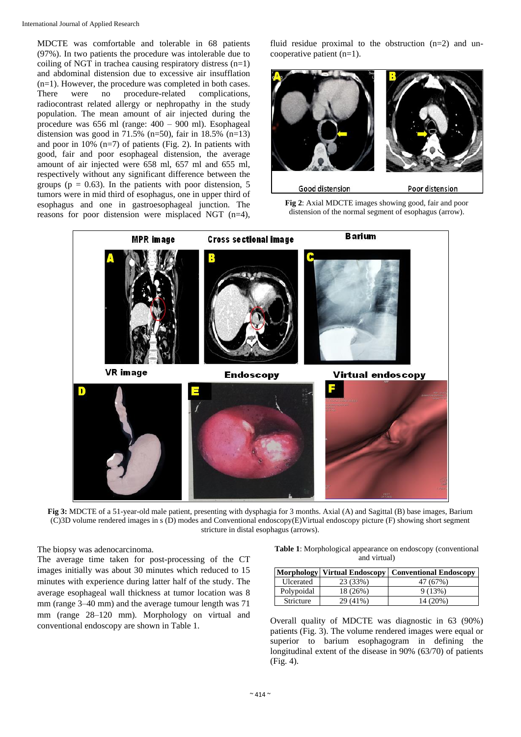MDCTE was comfortable and tolerable in 68 patients (97%). In two patients the procedure was intolerable due to coiling of NGT in trachea causing respiratory distress  $(n=1)$ and abdominal distension due to excessive air insufflation (n=1). However, the procedure was completed in both cases. There were no procedure-related complications, radiocontrast related allergy or nephropathy in the study population. The mean amount of air injected during the procedure was 656 ml (range: 400 – 900 ml). Esophageal distension was good in  $71.5\%$  (n=50), fair in 18.5% (n=13) and poor in 10% (n=7) of patients (Fig. 2). In patients with good, fair and poor esophageal distension, the average amount of air injected were 658 ml, 657 ml and 655 ml, respectively without any significant difference between the groups ( $p = 0.63$ ). In the patients with poor distension, 5 tumors were in mid third of esophagus, one in upper third of esophagus and one in gastroesophageal junction. The reasons for poor distension were misplaced NGT (n=4),

fluid residue proximal to the obstruction  $(n=2)$  and uncooperative patient (n=1).







**Fig 3:** MDCTE of a 51-year-old male patient, presenting with dysphagia for 3 months. Axial (A) and Sagittal (B) base images, Barium (C)3D volume rendered images in s (D) modes and Conventional endoscopy(E)Virtual endoscopy picture (F) showing short segment stricture in distal esophagus (arrows).

The biopsy was adenocarcinoma.

The average time taken for post-processing of the CT images initially was about 30 minutes which reduced to 15 minutes with experience during latter half of the study. The average esophageal wall thickness at tumor location was 8 mm (range 3–40 mm) and the average tumour length was 71 mm (range 28–120 mm). Morphology on virtual and conventional endoscopy are shown in Table 1.

**Table 1**: Morphological appearance on endoscopy (conventional and virtual)

|            |          | Morphology   Virtual Endoscopy   Conventional Endoscopy |
|------------|----------|---------------------------------------------------------|
| Ulcerated  | 23 (33%) | 47 (67%)                                                |
| Polypoidal | 18 (26%) | 9(13%)                                                  |
| Stricture  | 29 (41%) | 14 (20%)                                                |

Overall quality of MDCTE was diagnostic in 63 (90%) patients (Fig. 3). The volume rendered images were equal or superior to barium esophagogram in defining the longitudinal extent of the disease in 90% (63/70) of patients (Fig. 4).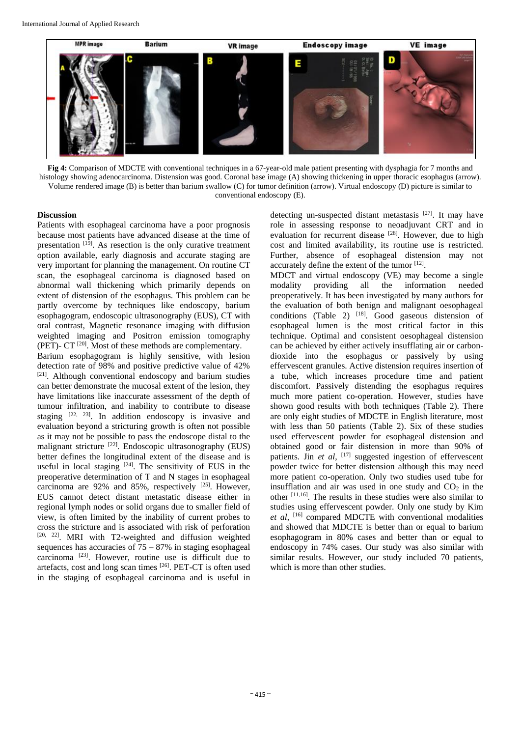

**Fig 4:** Comparison of MDCTE with conventional techniques in a 67-year-old male patient presenting with dysphagia for 7 months and histology showing adenocarcinoma. Distension was good. Coronal base image (A) showing thickening in upper thoracic esophagus (arrow). Volume rendered image (B) is better than barium swallow (C) for tumor definition (arrow). Virtual endoscopy (D) picture is similar to conventional endoscopy (E).

## **Discussion**

Patients with esophageal carcinoma have a poor prognosis because most patients have advanced disease at the time of presentation  $[19]$ . As resection is the only curative treatment option available, early diagnosis and accurate staging are very important for planning the management. On routine CT scan, the esophageal carcinoma is diagnosed based on abnormal wall thickening which primarily depends on extent of distension of the esophagus. This problem can be partly overcome by techniques like endoscopy, barium esophagogram, endoscopic ultrasonography (EUS), CT with oral contrast, Magnetic resonance imaging with diffusion weighted imaging and Positron emission tomography (PET)-  $CT^{[20]}$ . Most of these methods are complementary. Barium esophagogram is highly sensitive, with lesion detection rate of 98% and positive predictive value of 42% [21]. Although conventional endoscopy and barium studies can better demonstrate the mucosal extent of the lesion, they have limitations like inaccurate assessment of the depth of tumour infiltration, and inability to contribute to disease staging  $[22, 23]$ . In addition endoscopy is invasive and evaluation beyond a stricturing growth is often not possible as it may not be possible to pass the endoscope distal to the malignant stricture [22]. Endoscopic ultrasonography (EUS) better defines the longitudinal extent of the disease and is useful in local staging  $[24]$ . The sensitivity of EUS in the preoperative determination of T and N stages in esophageal carcinoma are  $92\%$  and  $85\%$ , respectively  $^{[25]}$ . However, EUS cannot detect distant metastatic disease either in regional lymph nodes or solid organs due to smaller field of view, is often limited by the inability of current probes to cross the stricture and is associated with risk of perforation

[20, 22]. MRI with T2-weighted and diffusion weighted sequences has accuracies of  $75 - 87\%$  in staging esophageal carcinoma [23]. However, routine use is difficult due to artefacts, cost and long scan times [26]. PET-CT is often used in the staging of esophageal carcinoma and is useful in

detecting un-suspected distant metastasis [27]. It may have role in assessing response to neoadjuvant CRT and in evaluation for recurrent disease <sup>[28]</sup>. However, due to high cost and limited availability, its routine use is restricted. Further, absence of esophageal distension may not accurately define the extent of the tumor [12].

MDCT and virtual endoscopy (VE) may become a single modality providing all the information needed preoperatively. It has been investigated by many authors for the evaluation of both benign and malignant oesophageal conditions (Table 2)  $[18]$ . Good gaseous distension of esophageal lumen is the most critical factor in this technique. Optimal and consistent oesophageal distension can be achieved by either actively insufflating air or carbondioxide into the esophagus or passively by using effervescent granules. Active distension requires insertion of a tube, which increases procedure time and patient discomfort. Passively distending the esophagus requires much more patient co-operation. However, studies have shown good results with both techniques (Table 2). There are only eight studies of MDCTE in English literature, most with less than 50 patients (Table 2). Six of these studies used effervescent powder for esophageal distension and obtained good or fair distension in more than 90% of patients. Jin *et al*, <sup>[17]</sup> suggested ingestion of effervescent powder twice for better distension although this may need more patient co-operation. Only two studies used tube for insufflation and air was used in one study and  $CO<sub>2</sub>$  in the other  $[11,16]$ . The results in these studies were also similar to studies using effervescent powder. Only one study by Kim *et al*, [16] compared MDCTE with conventional modalities and showed that MDCTE is better than or equal to barium esophagogram in 80% cases and better than or equal to endoscopy in 74% cases. Our study was also similar with similar results. However, our study included 70 patients, which is more than other studies.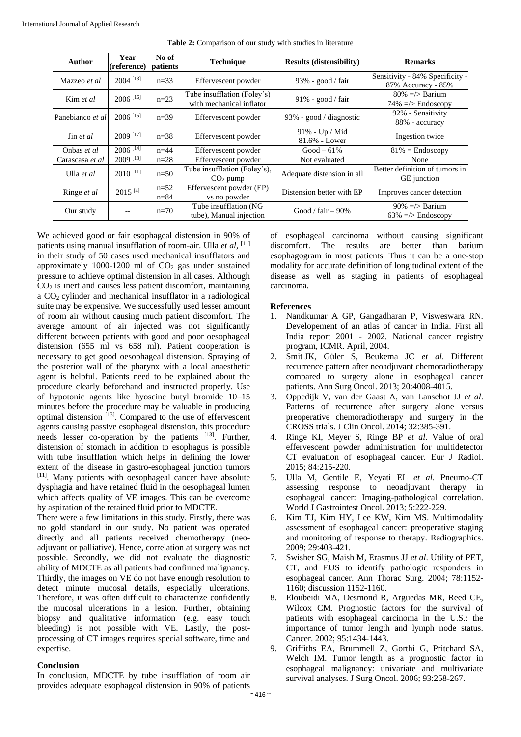| Author           | Year<br>(reference)    | No of<br>patients  | <b>Technique</b>                                        | <b>Results (distensibility)</b> | <b>Remarks</b>                                         |
|------------------|------------------------|--------------------|---------------------------------------------------------|---------------------------------|--------------------------------------------------------|
| Mazzeo et al     | $2004$ <sup>[13]</sup> | $n = 33$           | Effervescent powder                                     | $93\%$ - good / fair            | Sensitivity - 84% Specificity -<br>87% Accuracy - 85%  |
| Kim et al.       | $2006$ <sup>[16]</sup> | $n=23$             | Tube insufflation (Foley's)<br>with mechanical inflator | $91\%$ - good / fair            | $80\% = \gt{$ Barium<br>$74\% = \frac{5}{2}$ Endoscopy |
| Panebianco et al | $2006$ <sup>[15]</sup> | $n=39$             | Effervescent powder                                     | 93% - good / diagnostic         | 92% - Sensitivity<br>88% - accuracy                    |
| Jin et al.       | $2009$ [17]            | $n = 38$           | Effervescent powder                                     | 91% - Up / Mid<br>81.6% - Lower | Ingestion twice                                        |
| Onbas et al      | $2006$ <sup>[14]</sup> | $n = 44$           | Effervescent powder                                     | $Good-61\%$                     | $81\%$ = Endoscopy                                     |
| Carascasa et al  | 2009 [18]              | $n=28$             | Effervescent powder                                     | Not evaluated                   | None                                                   |
| Ulla et al       | $2010$ <sup>[11]</sup> | $n=50$             | Tube insufflation (Foley's),<br>CO <sub>2</sub> pump    | Adequate distension in all      | Better definition of tumors in<br><b>GE</b> junction   |
| Ringe et al      | $2015^{[4]}$           | $n=52$<br>$n = 84$ | Effervescent powder (EP)<br>vs no powder                | Distension better with EP       | Improves cancer detection                              |
| Our study        |                        | $n=70$             | Tube insufflation (NG<br>tube), Manual injection        | Good / fair $-90\%$             | $90\% = \gt{$ Barium<br>$63\%$ =/> Endoscopy           |

**Table 2:** Comparison of our study with studies in literature

We achieved good or fair esophageal distension in 90% of patients using manual insufflation of room-air. Ulla et al, [11] in their study of 50 cases used mechanical insufflators and approximately 1000-1200 ml of  $CO<sub>2</sub>$  gas under sustained pressure to achieve optimal distension in all cases. Although  $CO<sub>2</sub>$  is inert and causes less patient discomfort, maintaining a  $CO<sub>2</sub>$  cylinder and mechanical insufflator in a radiological suite may be expensive. We successfully used lesser amount of room air without causing much patient discomfort. The average amount of air injected was not significantly different between patients with good and poor oesophageal distension (655 ml vs 658 ml). Patient cooperation is necessary to get good oesophageal distension. Spraying of the posterior wall of the pharynx with a local anaesthetic agent is helpful. Patients need to be explained about the procedure clearly beforehand and instructed properly. Use of hypotonic agents like hyoscine butyl bromide 10–15 minutes before the procedure may be valuable in producing optimal distension [13]. Compared to the use of effervescent agents causing passive esophageal distension, this procedure needs lesser co-operation by the patients [13]. Further, distension of stomach in addition to esophagus is possible with tube insufflation which helps in defining the lower extent of the disease in gastro-esophageal junction tumors [11]. Many patients with oesophageal cancer have absolute dysphagia and have retained fluid in the oesophageal lumen which affects quality of VE images. This can be overcome by aspiration of the retained fluid prior to MDCTE.

There were a few limitations in this study. Firstly, there was no gold standard in our study. No patient was operated directly and all patients received chemotherapy (neoadjuvant or palliative). Hence, correlation at surgery was not possible. Secondly, we did not evaluate the diagnostic ability of MDCTE as all patients had confirmed malignancy. Thirdly, the images on VE do not have enough resolution to detect minute mucosal details, especially ulcerations. Therefore, it was often difficult to characterize confidently the mucosal ulcerations in a lesion. Further, obtaining biopsy and qualitative information (e.g. easy touch bleeding) is not possible with VE. Lastly, the postprocessing of CT images requires special software, time and expertise.

### **Conclusion**

In conclusion, MDCTE by tube insufflation of room air provides adequate esophageal distension in 90% of patients of esophageal carcinoma without causing significant discomfort. The results are better than barium esophagogram in most patients. Thus it can be a one-stop modality for accurate definition of longitudinal extent of the disease as well as staging in patients of esophageal carcinoma.

### **References**

- 1. Nandkumar A GP, Gangadharan P, Visweswara RN. Developement of an atlas of cancer in India. First all India report 2001 - 2002, National cancer registry program, ICMR. April, 2004.
- 2. Smit JK, Güler S, Beukema JC *et al*. Different recurrence pattern after neoadjuvant chemoradiotherapy compared to surgery alone in esophageal cancer patients. Ann Surg Oncol. 2013; 20:4008-4015.
- 3. Oppedijk V, van der Gaast A, van Lanschot JJ *et al*. Patterns of recurrence after surgery alone versus preoperative chemoradiotherapy and surgery in the CROSS trials. J Clin Oncol. 2014; 32:385-391.
- 4. Ringe KI, Meyer S, Ringe BP *et al*. Value of oral effervescent powder administration for multidetector CT evaluation of esophageal cancer. Eur J Radiol. 2015; 84:215-220.
- 5. Ulla M, Gentile E, Yeyati EL *et al*. Pneumo-CT assessing response to neoadjuvant therapy in esophageal cancer: Imaging-pathological correlation. World J Gastrointest Oncol. 2013; 5:222-229.
- 6. Kim TJ, Kim HY, Lee KW, Kim MS. Multimodality assessment of esophageal cancer: preoperative staging and monitoring of response to therapy. Radiographics. 2009; 29:403-421.
- 7. Swisher SG, Maish M, Erasmus JJ *et al*. Utility of PET, CT, and EUS to identify pathologic responders in esophageal cancer. Ann Thorac Surg. 2004; 78:1152- 1160; discussion 1152-1160.
- 8. Eloubeidi MA, Desmond R, Arguedas MR, Reed CE, Wilcox CM. Prognostic factors for the survival of patients with esophageal carcinoma in the U.S.: the importance of tumor length and lymph node status. Cancer. 2002; 95:1434-1443.
- 9. Griffiths EA, Brummell Z, Gorthi G, Pritchard SA, Welch IM. Tumor length as a prognostic factor in esophageal malignancy: univariate and multivariate survival analyses. J Surg Oncol. 2006; 93:258-267.